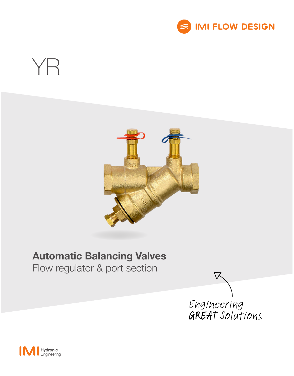

# YR



### Automatic Balancing Valves

Flow regulator & port section



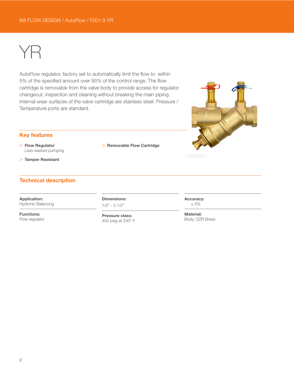## YR

AutoFlow regulator, factory set to automatically limit the flow to within 5% of the specified amount over 95% of the control range. The flow cartridge is removable from the valve body to provide access for regulator changeout, inspection and cleaning without breaking the main piping. Internal wear surfaces of the valve cartridge are stainless steel. Pressure / Temperature ports are standard.

#### Key features

> Flow Regulator Less wasted pumping

> Tamper Resistant

#### Technical description

Application: Hydronic Balancing

Functions: Flow regulator Dimensions:  $1/2" - 2 1/2"$ 

> Removable Flow Cartridge

Pressure class: 400 psig at 250° F



Accuracy: ± 5%

Material: Body: DZR Brass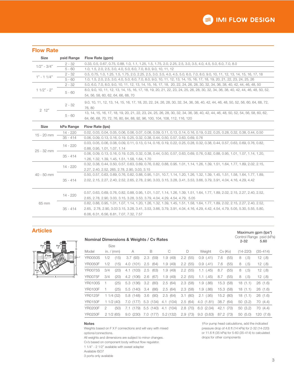#### Flow Rate

| <b>Size</b>   | psid Range | Flow Rate (gpm)                                                                                                                   |  |  |  |  |  |
|---------------|------------|-----------------------------------------------------------------------------------------------------------------------------------|--|--|--|--|--|
| $1/2" - 3/4"$ | $2 - 32$   | 0.33, 0.5, 0.67, 0.75, 0.88, 1.0, 1.1, 1.25, 1.5, 1.75, 2.0, 2.25, 2.5, 3.0, 3.5, 4.0, 4.5, 5.0, 6.0, 7.0, 8.0                    |  |  |  |  |  |
|               | $5 - 60$   | 1.0, 1.5, 2.0, 2.5, 3.0, 4.0, 5.0, 6.0, 7.0, 8.0, 9.0, 10, 11, 12                                                                 |  |  |  |  |  |
| $1" - 11/4"$  | $2 - 32$   | 0.5, 0.75, 1.0, 1.25, 1.5, 1.75, 2.0, 2.25, 2.5, 3.0, 3.5, 4.0, 4.5, 5.0, 6.0, 7.0, 8.0, 9.0, 10, 11, 12, 13, 14, 15, 16, 17, 18  |  |  |  |  |  |
|               | $5 - 60$   | 1.0, 1.5, 2.0, 2.5, 3.0, 4.0, 5.0, 6.0, 7.0, 8.0, 9.0, 10, 11, 12, 13, 14, 15, 16, 17, 18, 19, 20, 21, 22, 23, 24, 25, 26         |  |  |  |  |  |
| $11/2" - 2"$  | $2 - 32$   | 5.0, 6.0, 7.0, 8.0, 9.0, 10, 11, 12, 13, 14, 15, 16, 17, 18, 20, 22, 24, 26, 28, 30, 32, 34, 36, 38, 40, 42, 44, 46, 48, 50       |  |  |  |  |  |
|               | $5 - 60$   | 8.0, 9.0, 10, 11, 12, 13, 14, 15, 16, 17, 18, 19, 20, 21, 22, 23, 24, 25, 26, 28, 30, 32, 34, 36, 38, 40, 42, 44, 46, 48, 50, 52, |  |  |  |  |  |
|               |            | 54, 56, 58, 60, 62, 64, 66, 68, 70                                                                                                |  |  |  |  |  |
| 212"          | $2 - 32$   | 9.0, 10, 11, 12, 13, 14, 15, 16, 17, 18, 20, 22, 24, 26, 28, 30, 32, 34, 36, 38, 40, 42, 44, 46, 48, 50, 52, 56, 60, 64, 68, 72,  |  |  |  |  |  |
|               |            | 76.80                                                                                                                             |  |  |  |  |  |
|               | $5 - 60$   | 13, 14, 15, 16, 17, 18, 19, 20, 21, 22, 23, 24, 25, 26, 28, 30, 32, 34, 36, 38, 40, 42, 44, 46, 48, 50, 52, 54, 56, 58, 60, 62,   |  |  |  |  |  |
|               |            | 64, 66, 68, 70, 72, 76, 80, 84, 88, 92, 96, 100, 104, 108, 112, 116, 120                                                          |  |  |  |  |  |
|               |            |                                                                                                                                   |  |  |  |  |  |
| <b>Size</b>   | kPa Range  | Flow Rate (lps)                                                                                                                   |  |  |  |  |  |
| $15 - 20$ mm  | $14 - 220$ | 0.02, 0.03, 0.04, 0.05, 0.06, 0.06, 0.07, 0.08, 0.09, 0.11, 0.13, 0.14, 0.16, 0.19, 0.22, 0.25, 0.28, 0.32, 0.38, 0.44, 0.50      |  |  |  |  |  |
|               | $35 - 414$ | 0.06, 0.09, 0.13, 0.16, 0.19, 0.25, 0.32, 0.38, 0.44, 0.50, 0.57, 0.63, 0.69, 0.76                                                |  |  |  |  |  |
| 25 - 32 mm    | $14 - 220$ | 0.03, 0.05, 0.06, 0.08, 0.09, 0.11, 0.13, 0.14, 0.16, 0.19, 0.22, 0.25, 0.28, 0.32, 0.38, 0.44, 0.57, 0.63, 0.69, 0.76, 0.82,     |  |  |  |  |  |
|               |            | 0.88, 0.95, 1.01, 1.07, 1.14                                                                                                      |  |  |  |  |  |
|               | $35 - 414$ | 0.06, 0.09, 0.13, 0.16, 0.19, 0.25, 0.32, 0.38, 0.44, 0.50, 0.57, 0.63, 0.69, 0.76, 0.82, 0.88, 0.95, 1.01, 1.07, 1.14, 1.20,     |  |  |  |  |  |
|               |            | 1.26, 1.32, 1.39, 1.45, 1.51, 1.58, 1.64, 1.70                                                                                    |  |  |  |  |  |
| $40 - 50$ mm  | $14 - 220$ | 0.32, 0.38, 0.44, 0.50, 0.57, 0.63, 0.69, 0.76, 0.82, 0.88, 0.95. 1.01, 1.14, 1.26, 1.39, 1.51, 1.64, 1.77, 1.89, 2.02, 2.15,     |  |  |  |  |  |
|               |            | 2.27, 2.40, 2.52, 265, 2.78, 2.90, 3.03, 3.15                                                                                     |  |  |  |  |  |
|               | $35 - 414$ | 0.50, 0.57, 0.63, 0.69, 0.76, 0.82, 0.88, 0.95, 1.01, 10.7, 1.14, 1.20, 1.26, 1.32, 1.39, 1.45, 1.51, 1.58, 1.64, 1.77, 1.89,     |  |  |  |  |  |
|               |            | 2.02, 2.15, 2.27, 2.40, 2.52, 2.65, 2.78, 2.90, 3.03, 3.15, 3.28, 3.41, 3.53, 3.66, 3.79, 3.91, 4.04, 4.16, 4.29, 4.42            |  |  |  |  |  |
|               |            |                                                                                                                                   |  |  |  |  |  |
| 65 mm         | $14 - 220$ | 0.57, 0.63, 0.69, 0.76, 0.82, 0.88, 0.95, 1.01, 1.07, 1.14, 1.26, 1.39, 1.51, 1.64, 1.77, 1.89, 2.02, 2.15, 2.27, 2.40, 2.52,     |  |  |  |  |  |
|               |            | 2.65, 2.78, 2.90, 3.03, 3.15, 3.28, 3.53, 3.79, 4.04, 4.29, 4.54, 4.79, 5.05                                                      |  |  |  |  |  |
|               | $35 - 414$ | 0.82, 0.88, 0.95, 1.01, 1.07, 1.14, 1.20, 1.26, 1.32, 1.39, 1.45, 1.51, 1.58, 1.64, 1.77, 1.89, 2.02, 2.15, 2.27, 2.40, 2.52,     |  |  |  |  |  |
|               |            | 2.65, 2.78, 2.90, 3.03 3.15, 3.28, 3.41, 3.53, 3.66, 3.79, 3.91, 4.04, 4.16, 4.29, 4.42, 4.54, 4.79, 5.05, 5.30, 5.55, 5.80,      |  |  |  |  |  |
|               |            | 6.06, 6.31, 6.56, 6.81, 7.07, 7.32, 7.57                                                                                          |  |  |  |  |  |

#### Articles



| <b>Nominal Dimensions &amp; Weights / Cv Rates</b> | $2 - 32$ | Maximum gpm (lps*)<br>Control Range psid (kPa)<br>5.60 |              |              |              |             |               |               |              |           |
|----------------------------------------------------|----------|--------------------------------------------------------|--------------|--------------|--------------|-------------|---------------|---------------|--------------|-----------|
|                                                    | Size     |                                                        |              |              |              |             |               |               |              |           |
| Model                                              |          | in. $/$ (mm)                                           | A            | B            | C            | D           | Weight        | $Cv$ ( $Kv$ ) | $(14 - 220)$ | (35-414)  |
| <b>YR0050S</b>                                     | 1/2      | (15)                                                   | (93)<br>3.7  | (59)<br>2.3  | 1.9(49)      | 2.2(55)     | 0.9(0.41)     | 7.6<br>(55)   | 8<br>(.5)    | 12(0.8)   |
| <b>YR0050F</b>                                     | 1/2      | (15)                                                   | (101)<br>4.0 | (64)<br>2.5  | 1.9(49)      | 2.2(55)     | 0.9(0.41)     | 7.6<br>(55)   | (.5)<br>8    | 12(.8)    |
| <b>YR0075S</b>                                     | 3/4      | (20)                                                   | (103)<br>4.1 | (63)<br>2.5  | 1.9(49)      | 2.2(55)     | $1.1$ (.45)   | 8.7<br>(55)   | 8<br>(.5)    | 12(0.8)   |
| <b>YR0075F</b>                                     | 3/4      | (20)                                                   | 4.2 (106)    | (67)<br>2.6  | 1.9(49)      | 2.2(55)     | $1.1$ (.45)   | 8.7<br>(55)   | (.5)<br>8    | 12(0.8)   |
| YR0100S                                            |          | (25)                                                   | 5.3 (136)    | 3.2<br>(80)  | 2.5<br>(64)  | 2.3(58)     | (.86)<br>1.9  | 15.3 (58)     | 18(1.1)      | 26(1.6)   |
| <b>YR0100F</b>                                     |          | (25)                                                   | 5.5(140)     | (86)<br>3.4  | 2.5(64)      | 2.3(58)     | 1.9(0.86)     | 15.3 (58)     | 18(1.1)      | 26(1.6)   |
| <b>YR0125F</b>                                     |          | 11/4(32)                                               | 5.8(148)     | (90)<br>3.6  | 2.5<br>(64)  | (80)<br>3.1 | $2.1$ (.95)   | 15.2 (80)     | 18(1.1)      | 26(1.6)   |
| <b>YR0150F</b>                                     |          | 11/2(40)                                               | (177)<br>7.0 | 5.3(134)     | (104)<br>4.1 | (64)<br>2.5 | (1.81)<br>4.0 | 38.7 (64)     | 50 (3.2)     | 70 (4.4)  |
| <b>YR0200F</b>                                     | 2        | (50)                                                   | 7.1 (179)    | (140)<br>5.5 | (104)<br>4.1 | (70)<br>2.8 | 6.0(2.04)     | 42.1 (70)     | 50 (3.2)     | 70 (4.4)  |
| <b>YR0250F</b>                                     |          | 21/2(65)                                               | (230)<br>9.0 | (177)<br>7.0 | 5.2(132)     | 2.9(73)     | 9.0(3.63)     | 87.2 (73)     | 50(5.0)      | 120 (7.6) |

#### Notes

Weights based on F X F connections and will vary with mixed options/connections.

All weights and dimensions are subject to minor changes.

Cv's based on component body without flow regulator.

1 1/4" - 2 1/2" available with sweat adapter

Available ISO7

3 ports only available

#### †For pump head calculations, add the indicated pressure drop of 4.6 ft (14 kPa) for 2-32 (14-220) or 11.6 ft (35 kPa) for 5-60 (35-414) to calculated drops for other components